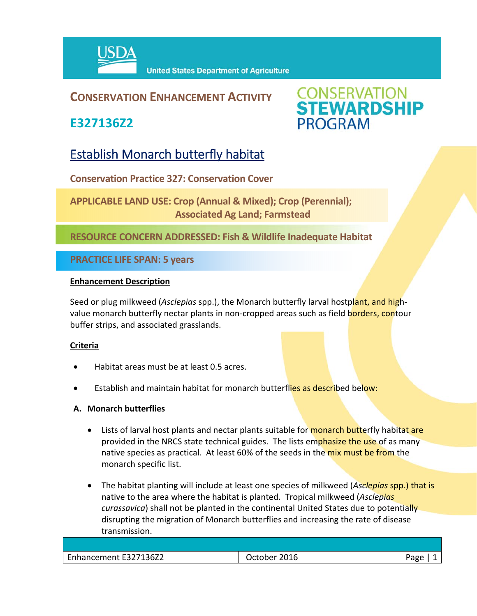

### **CONSERVATION ENHANCEMENT ACTIVITY**

**E327136Z2**



## Establish Monarch butterfly habitat

**Conservation Practice 327: Conservation Cover** 

**APPLICABLE LAND USE: Crop (Annual & Mixed); Crop (Perennial); Associated Ag Land; Farmstead**

**RESOURCE CONCERN ADDRESSED: Fish & Wildlife Inadequate Habitat**

**PRACTICE LIFE SPAN: 5 years**

#### **Enhancement Description**

Seed or plug milkweed (*Asclepias* spp.), the Monarch butterfly larval hostplant, and high‐ value monarch butterfly nectar plants in non-cropped areas such as field borders, contour buffer strips, and associated grasslands.

#### **Criteria**

- Habitat areas must be at least 0.5 acres.
- Establish and maintain habitat for monarch butterflies as described below:
- **A. Monarch butterflies**
	- Lists of larval host plants and nectar plants suitable for monarch butterfly habitat are provided in the NRCS state technical guides. The lists emphasize the use of as many native species as practical. At least 60% of the seeds in the mix must be from the monarch specific list.
	- The habitat planting will include at least one species of milkweed (*Asclepias* spp.) that is native to the area where the habitat is planted. Tropical milkweed (*Asclepias curassavica*) shall not be planted in the continental United States due to potentially disrupting the migration of Monarch butterflies and increasing the rate of disease transmission.

| Enhancement E327136Z2 | 2016<br>Jctober | Pape |
|-----------------------|-----------------|------|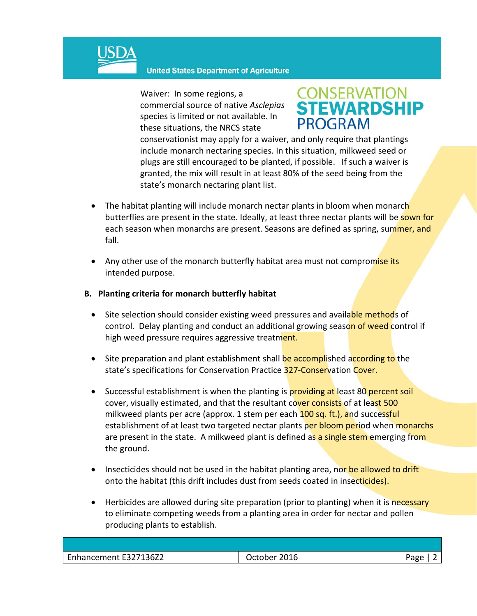

Waiver: In some regions, a commercial source of native *Asclepias* species is limited or not available. In these situations, the NRCS state



conservationist may apply for a waiver, and only require that plantings include monarch nectaring species. In this situation, milkweed seed or plugs are still encouraged to be planted, if possible. If such a waiver is granted, the mix will result in at least 80% of the seed being from the state's monarch nectaring plant list.

- The habitat planting will include monarch nectar plants in bloom when monarch butterflies are present in the state. Ideally, at least three nectar plants will be sown for each season when monarchs are present. Seasons are defined as spring, summer, and fall.
- Any other use of the monarch butterfly habitat area must not compromise its intended purpose.
- **B. Planting criteria for monarch butterfly habitat**
	- Site selection should consider existing weed pressures and available methods of control. Delay planting and conduct an additional growing season of weed control if high weed pressure requires aggressive treatment.
	- Site preparation and plant establishment shall be accomplished according to the state's specifications for Conservation Practice 327-Conservation Cover.
	- Successful establishment is when the planting is providing at least 80 percent soil cover, visually estimated, and that the resultant cover consists of at least 500 milkweed plants per acre (approx. 1 stem per each 100 sq. ft.), and successful establishment of at least two targeted nectar plants per bloom period when monarchs are present in the state. A milkweed plant is defined as a single stem emerging from the ground.
	- Insecticides should not be used in the habitat planting area, nor be allowed to drift onto the habitat (this drift includes dust from seeds coated in insecticides).
	- **•** Herbicides are allowed during site preparation (prior to planting) when it is necessary to eliminate competing weeds from a planting area in order for nectar and pollen producing plants to establish.

| Enhancement E327136Z2 | 2016<br>October | Japo |
|-----------------------|-----------------|------|